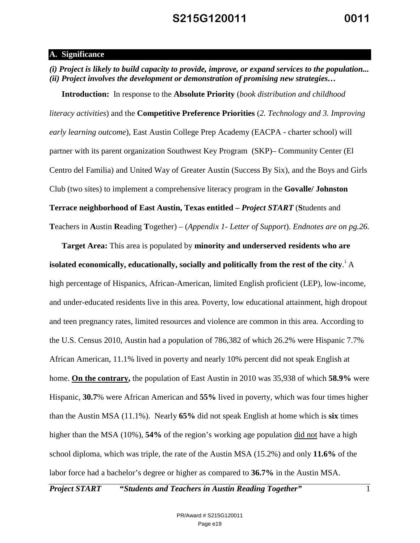#### **A. Significance**

*(i) Project is likely to build capacity to provide, improve, or expand services to the population... (ii) Project involves the development or demonstration of promising new strategies…*

**Introduction:** In response to the **Absolute Priority** (*book distribution and childhood literacy activities*) and the **Competitive Preference Priorities** (*2. Technology and 3. Improving early learning outcome*), East Austin College Prep Academy (EACPA - charter school) will partner with its parent organization Southwest Key Program (SKP)– Community Center (El Centro del Familia) and United Way of Greater Austin (Success By Six), and the Boys and Girls Club (two sites) to implement a comprehensive literacy program in the **Govalle/ Johnston Terrace neighborhood of East Austin, Texas entitled –** *Project START* (**S**tudents and **T**eachers in **A**ustin **R**eading **T**ogether) – (*Appendix 1- Letter of Support*). *Endnotes are on pg.26.*

**Target Area:** This area is populated by **minority and underserved residents who are isolated economically, educationally, socially and politically from the rest of the city**. i A high percentage of Hispanics, African-American, limited English proficient (LEP), low-income, and under-educated residents live in this area. Poverty, low educational attainment, high dropout and teen pregnancy rates, limited resources and violence are common in this area. According to the U.S. Census 2010, Austin had a population of 786,382 of which 26.2% were Hispanic 7.7% African American, 11.1% lived in poverty and nearly 10% percent did not speak English at home. **On the contrary,** the population of East Austin in 2010 was 35,938 of which **58.9%** were Hispanic, **30.7**% were African American and **55%** lived in poverty, which was four times higher than the Austin MSA (11.1%). Nearly **65%** did not speak English at home which is **six** times higher than the MSA (10%), **54%** of the region's working age population did not have a high school diploma, which was triple, the rate of the Austin MSA (15.2%) and only **11.6%** of the labor force had a bachelor's degree or higher as compared to **36.7%** in the Austin MSA.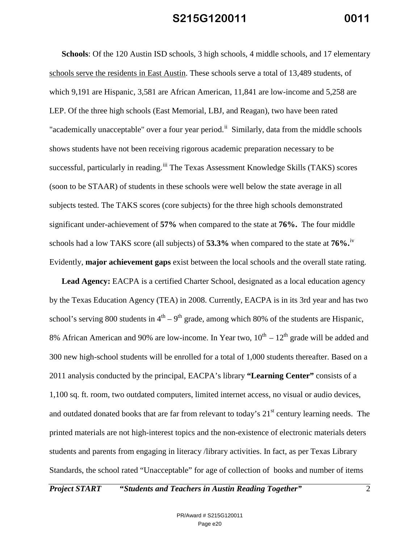**Schools**: Of the 120 Austin ISD schools, 3 high schools, 4 middle schools, and 17 elementary schools serve the residents in East Austin. These schools serve a total of 13,489 students, of which 9,191 are Hispanic, 3,581 are African American, 11,841 are low-income and 5,258 are LEP. Of the three high schools (East Memorial, LBJ, and Reagan), two have been rated "academically unacceptable" over a four year period.<sup>ii</sup> Similarly, data from the middle schools shows students have not been receiving rigorous academic preparation necessary to be successful, particularly in reading. iii The Texas Assessment Knowledge Skills (TAKS) scores (soon to be STAAR) of students in these schools were well below the state average in all subjects tested. The TAKS scores (core subjects) for the three high schools demonstrated significant under-achievement of **57%** when compared to the state at **76%.** The four middle schools had a low TAKS score (all subjects) of **53.3%** when compared to the state at **76%.**iv Evidently, **major achievement gaps** exist between the local schools and the overall state rating.

**Lead Agency:** EACPA is a certified Charter School, designated as a local education agency by the Texas Education Agency (TEA) in 2008. Currently, EACPA is in its 3rd year and has two school's serving 800 students in  $4<sup>th</sup> - 9<sup>th</sup>$  grade, among which 80% of the students are Hispanic, 8% African American and 90% are low-income. In Year two,  $10^{th} - 12^{th}$  grade will be added and 300 new high-school students will be enrolled for a total of 1,000 students thereafter. Based on a 2011 analysis conducted by the principal, EACPA's library **"Learning Center"** consists of a 1,100 sq. ft. room, two outdated computers, limited internet access, no visual or audio devices, and outdated donated books that are far from relevant to today's  $21<sup>st</sup>$  century learning needs. The printed materials are not high-interest topics and the non-existence of electronic materials deters students and parents from engaging in literacy /library activities. In fact, as per Texas Library Standards, the school rated "Unacceptable" for age of collection of books and number of items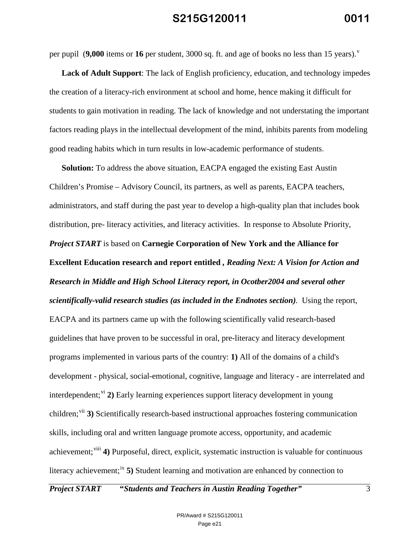per pupil (**9,000** items or 16 per student, 3000 sq. ft. and age of books no less than 15 years).<sup>v</sup>

**Lack of Adult Support**: The lack of English proficiency, education, and technology impedes the creation of a literacy-rich environment at school and home, hence making it difficult for students to gain motivation in reading. The lack of knowledge and not understating the important factors reading plays in the intellectual development of the mind, inhibits parents from modeling good reading habits which in turn results in low-academic performance of students.

**Solution:** To address the above situation, EACPA engaged the existing East Austin Children's Promise – Advisory Council, its partners, as well as parents, EACPA teachers, administrators, and staff during the past year to develop a high-quality plan that includes book distribution, pre- literacy activities, and literacy activities. In response to Absolute Priority, *Project START* is based on **Carnegie Corporation of New York and the Alliance for Excellent Education research and report entitled** *, Reading Next: A Vision for Action and Research in Middle and High School Literacy report, in Ocotber2004 and several other scientifically-valid research studies (as included in the Endnotes section).* Using the report, EACPA and its partners came up with the following scientifically valid research-based guidelines that have proven to be successful in oral, pre-literacy and literacy development programs implemented in various parts of the country: **1)** All of the domains of a child's development - physical, social-emotional, cognitive, language and literacy - are interrelated and interdependent;<sup>vi</sup> 2) Early learning experiences support literacy development in young children;<sup>vii</sup> 3) Scientifically research-based instructional approaches fostering communication skills, including oral and written language promote access, opportunity, and academic achievement; viii 4) Purposeful, direct, explicit, systematic instruction is valuable for continuous literacy achievement;<sup>ix</sup> 5) Student learning and motivation are enhanced by connection to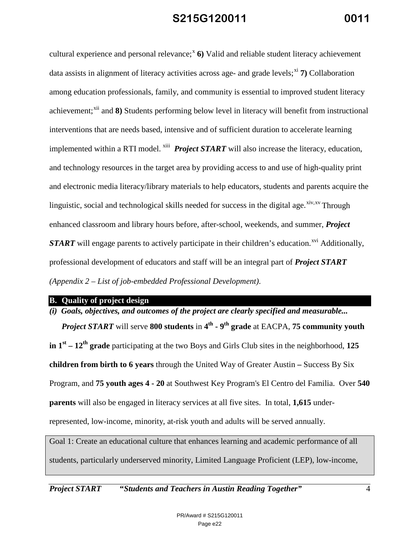cultural experience and personal relevance;<sup>x</sup> 6) Valid and reliable student literacy achievement data assists in alignment of literacy activities across age- and grade levels;<sup>xi</sup> 7) Collaboration among education professionals, family, and community is essential to improved student literacy achievement;<sup>xii</sup> and 8) Students performing below level in literacy will benefit from instructional interventions that are needs based, intensive and of sufficient duration to accelerate learning implemented within a RTI model.<sup>xiii</sup> *Project START* will also increase the literacy, education, and technology resources in the target area by providing access to and use of high-quality print and electronic media literacy/library materials to help educators, students and parents acquire the linguistic, social and technological skills needed for success in the digital age.  $\frac{x^2}{x^3}$  Through enhanced classroom and library hours before, after-school, weekends, and summer, *Project START* will engage parents to actively participate in their children's education.<sup>xvi</sup> Additionally, professional development of educators and staff will be an integral part of *Project START (Appendix 2 – List of job-embedded Professional Development)*.

**B. Quality of project design**

*(i) Goals, objectives, and outcomes of the project are clearly specified and measurable... Project START* will serve **800 students** in  $4^{\text{th}}$  **-**  $9^{\text{th}}$  **grade** at EACPA, 75 community youth **in 1st – 12th grade** participating at the two Boys and Girls Club sites in the neighborhood, **125 children from birth to 6 years** through the United Way of Greater Austin **–** Success By Six Program, and **75 youth ages 4 - 20** at Southwest Key Program's El Centro del Familia. Over **540 parents** will also be engaged in literacy services at all five sites. In total, **1,615** underrepresented, low-income, minority, at-risk youth and adults will be served annually.

Goal 1: Create an educational culture that enhances learning and academic performance of all students, particularly underserved minority, Limited Language Proficient (LEP), low-income,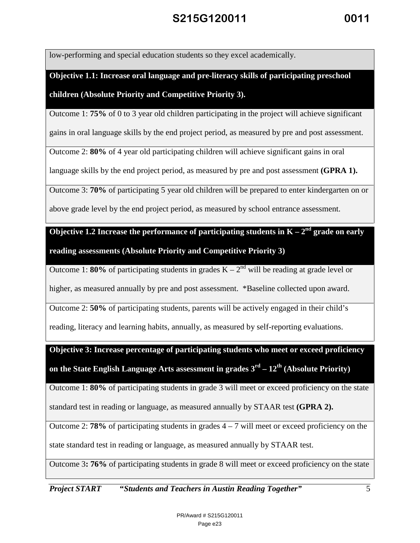low-performing and special education students so they excel academically.

**Objective 1.1: Increase oral language and pre-literacy skills of participating preschool children (Absolute Priority and Competitive Priority 3).**

Outcome 1: **75%** of 0 to 3 year old children participating in the project will achieve significant

gains in oral language skills by the end project period, as measured by pre and post assessment.

Outcome 2: **80%** of 4 year old participating children will achieve significant gains in oral

language skills by the end project period, as measured by pre and post assessment **(GPRA 1).**

Outcome 3: **70%** of participating 5 year old children will be prepared to enter kindergarten on or

above grade level by the end project period, as measured by school entrance assessment.

**Objective 1.2 Increase the performance of participating students in**  $K - 2<sup>nd</sup>$  **grade on early reading assessments (Absolute Priority and Competitive Priority 3)**

Outcome 1: **80%** of participating students in grades  $K - 2<sup>nd</sup>$  will be reading at grade level or

higher, as measured annually by pre and post assessment. \*Baseline collected upon award.

Outcome 2: **50%** of participating students, parents will be actively engaged in their child's

reading, literacy and learning habits, annually, as measured by self-reporting evaluations.

**Objective 3: Increase percentage of participating students who meet or exceed proficiency on the State English Language Arts assessment in grades 3rd – 12th (Absolute Priority)**

Outcome 1: **80%** of participating students in grade 3 will meet or exceed proficiency on the state

standard test in reading or language, as measured annually by STAAR test **(GPRA 2).**

Outcome 2: **78%** of participating students in grades  $4 - 7$  will meet or exceed proficiency on the state standard test in reading or language, as measured annually by STAAR test.

Outcome 3**: 76%** of participating students in grade 8 will meet or exceed proficiency on the state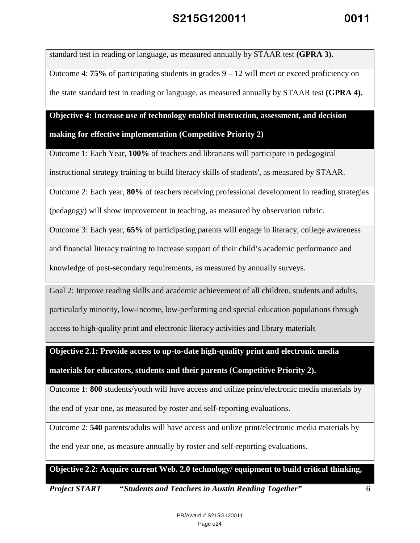standard test in reading or language, as measured annually by STAAR test **(GPRA 3).**

Outcome 4: **75%** of participating students in grades 9 – 12 will meet or exceed proficiency on the state standard test in reading or language, as measured annually by STAAR test **(GPRA 4).**

#### **Objective 4: Increase use of technology enabled instruction, assessment, and decision**

**making for effective implementation (Competitive Priority 2)**

Outcome 1: Each Year, **100%** of teachers and librarians will participate in pedagogical

instructional strategy training to build literacy skills of students', as measured by STAAR.

Outcome 2: Each year, **80%** of teachers receiving professional development in reading strategies

(pedagogy) will show improvement in teaching, as measured by observation rubric.

Outcome 3: Each year, **65%** of participating parents will engage in literacy, college awareness

and financial literacy training to increase support of their child's academic performance and

knowledge of post-secondary requirements, as measured by annually surveys.

Goal 2: Improve reading skills and academic achievement of all children, students and adults,

particularly minority, low-income, low-performing and special education populations through

access to high-quality print and electronic literacy activities and library materials

**Objective 2.1: Provide access to up-to-date high-quality print and electronic media** 

**materials for educators, students and their parents (Competitive Priority 2).**

Outcome 1: **800** students/youth will have access and utilize print/electronic media materials by

the end of year one, as measured by roster and self-reporting evaluations.

Outcome 2: **540** parents/adults will have access and utilize print/electronic media materials by

the end year one, as measure annually by roster and self-reporting evaluations.

**Objective 2.2: Acquire current Web. 2.0 technology/ equipment to build critical thinking,**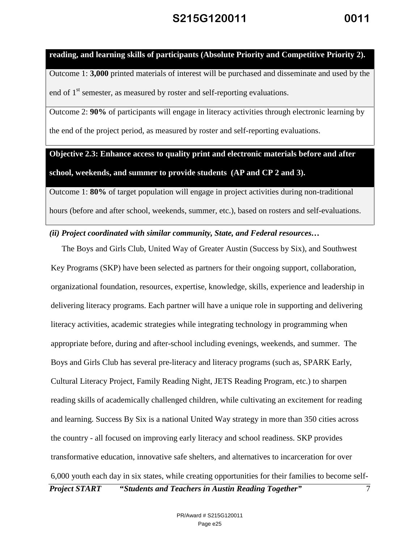#### **reading, and learning skills of participants (Absolute Priority and Competitive Priority 2).**

Outcome 1: **3,000** printed materials of interest will be purchased and disseminate and used by the end of  $1<sup>st</sup>$  semester, as measured by roster and self-reporting evaluations.

Outcome 2: **90%** of participants will engage in literacy activities through electronic learning by the end of the project period, as measured by roster and self-reporting evaluations.

**Objective 2.3: Enhance access to quality print and electronic materials before and after** 

**school, weekends, and summer to provide students (AP and CP 2 and 3).**

Outcome 1: **80%** of target population will engage in project activities during non-traditional hours (before and after school, weekends, summer, etc.), based on rosters and self-evaluations.

*(ii) Project coordinated with similar community, State, and Federal resources…*

*Project START* **"***Students and Teachers in Austin Reading Together"* 7 The Boys and Girls Club, United Way of Greater Austin (Success by Six), and Southwest Key Programs (SKP) have been selected as partners for their ongoing support, collaboration, organizational foundation, resources, expertise, knowledge, skills, experience and leadership in delivering literacy programs. Each partner will have a unique role in supporting and delivering literacy activities, academic strategies while integrating technology in programming when appropriate before, during and after-school including evenings, weekends, and summer. The Boys and Girls Club has several pre-literacy and literacy programs (such as, SPARK Early, Cultural Literacy Project, Family Reading Night, JETS Reading Program, etc.) to sharpen reading skills of academically challenged children, while cultivating an excitement for reading and learning. Success By Six is a national United Way strategy in more than 350 cities across the country - all focused on improving early literacy and school readiness. SKP provides transformative education, innovative safe shelters, and alternatives to incarceration for over 6,000 youth each day in six states, while creating opportunities for their families to become self-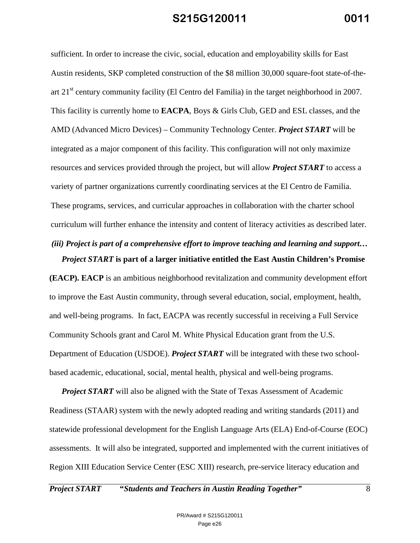sufficient. In order to increase the civic, social, education and employability skills for East Austin residents, SKP completed construction of the \$8 million 30,000 square-foot state-of-theart  $21<sup>st</sup>$  century community facility (El Centro del Familia) in the target neighborhood in 2007. This facility is currently home to **EACPA**, Boys & Girls Club, GED and ESL classes, and the AMD (Advanced Micro Devices) – Community Technology Center. *Project START* will be integrated as a major component of this facility. This configuration will not only maximize resources and services provided through the project, but will allow *Project START* to access a variety of partner organizations currently coordinating services at the El Centro de Familia. These programs, services, and curricular approaches in collaboration with the charter school curriculum will further enhance the intensity and content of literacy activities as described later.

*(iii) Project is part of a comprehensive effort to improve teaching and learning and support… Project START* **is part of a larger initiative entitled the East Austin Children's Promise** 

**(EACP). EACP** is an ambitious neighborhood revitalization and community development effort to improve the East Austin community, through several education, social, employment, health, and well-being programs. In fact, EACPA was recently successful in receiving a Full Service Community Schools grant and Carol M. White Physical Education grant from the U.S. Department of Education (USDOE). *Project START* will be integrated with these two schoolbased academic, educational, social, mental health, physical and well-being programs.

*Project START* will also be aligned with the State of Texas Assessment of Academic Readiness (STAAR) system with the newly adopted reading and writing standards (2011) and statewide professional development for the English Language Arts (ELA) End-of-Course (EOC) assessments. It will also be integrated, supported and implemented with the current initiatives of Region XIII Education Service Center (ESC XIII) research, pre-service literacy education and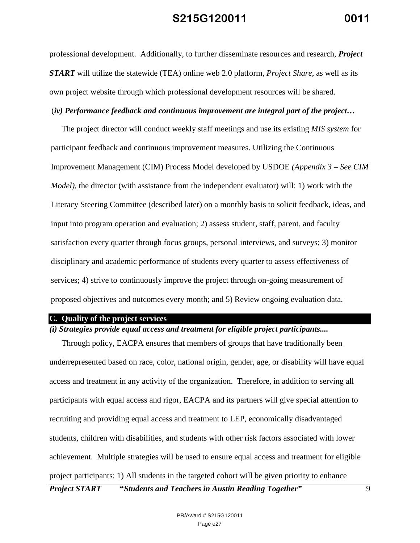professional development. Additionally, to further disseminate resources and research, *Project START* will utilize the statewide (TEA) online web 2.0 platform, *Project Share*, as well as its own project website through which professional development resources will be shared.

#### (*iv) Performance feedback and continuous improvement are integral part of the project…*

The project director will conduct weekly staff meetings and use its existing *MIS system* for participant feedback and continuous improvement measures. Utilizing the Continuous Improvement Management (CIM) Process Model developed by USDOE *(Appendix 3 – See CIM Model)*, the director (with assistance from the independent evaluator) will: 1) work with the Literacy Steering Committee (described later) on a monthly basis to solicit feedback, ideas, and input into program operation and evaluation; 2) assess student, staff, parent, and faculty satisfaction every quarter through focus groups, personal interviews, and surveys; 3) monitor disciplinary and academic performance of students every quarter to assess effectiveness of services; 4) strive to continuously improve the project through on-going measurement of proposed objectives and outcomes every month; and 5) Review ongoing evaluation data.

#### **C. Quality of the project services**

#### *(i) Strategies provide equal access and treatment for eligible project participants....*

Through policy, EACPA ensures that members of groups that have traditionally been underrepresented based on race, color, national origin, gender, age, or disability will have equal access and treatment in any activity of the organization. Therefore, in addition to serving all participants with equal access and rigor, EACPA and its partners will give special attention to recruiting and providing equal access and treatment to LEP, economically disadvantaged students, children with disabilities, and students with other risk factors associated with lower achievement. Multiple strategies will be used to ensure equal access and treatment for eligible project participants: 1) All students in the targeted cohort will be given priority to enhance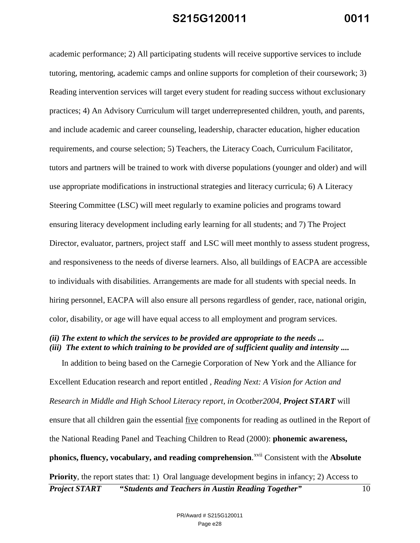academic performance; 2) All participating students will receive supportive services to include tutoring, mentoring, academic camps and online supports for completion of their coursework; 3) Reading intervention services will target every student for reading success without exclusionary practices; 4) An Advisory Curriculum will target underrepresented children, youth, and parents, and include academic and career counseling, leadership, character education, higher education requirements, and course selection; 5) Teachers, the Literacy Coach, Curriculum Facilitator, tutors and partners will be trained to work with diverse populations (younger and older) and will use appropriate modifications in instructional strategies and literacy curricula; 6) A Literacy Steering Committee (LSC) will meet regularly to examine policies and programs toward ensuring literacy development including early learning for all students; and 7) The Project Director, evaluator, partners, project staff and LSC will meet monthly to assess student progress, and responsiveness to the needs of diverse learners. Also, all buildings of EACPA are accessible to individuals with disabilities. Arrangements are made for all students with special needs. In hiring personnel, EACPA will also ensure all persons regardless of gender, race, national origin, color, disability, or age will have equal access to all employment and program services.

#### *(ii) The extent to which the services to be provided are appropriate to the needs ... (iii) The extent to which training to be provided are of sufficient quality and intensity ....*

*Project START* **"***Students and Teachers in Austin Reading Together"* 10 In addition to being based on the Carnegie Corporation of New York and the Alliance for Excellent Education research and report entitled *, Reading Next: A Vision for Action and Research in Middle and High School Literacy report, in Ocotber2004, Project START* will ensure that all children gain the essential five components for reading as outlined in the Report of the National Reading Panel and Teaching Children to Read (2000): **phonemic awareness, phonics, fluency, vocabulary, and reading comprehension**. xvii Consistent with the **Absolute Priority**, the report states that: 1) Oral language development begins in infancy; 2) Access to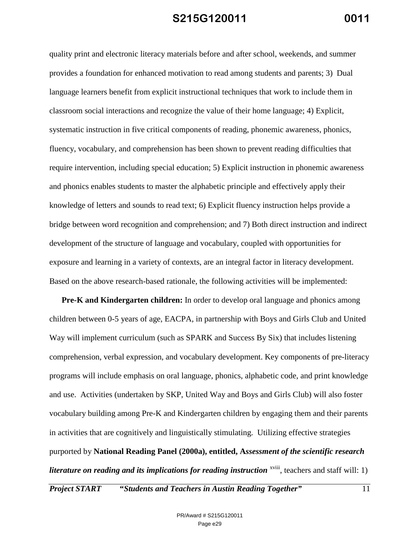quality print and electronic literacy materials before and after school, weekends, and summer provides a foundation for enhanced motivation to read among students and parents; 3) Dual language learners benefit from explicit instructional techniques that work to include them in classroom social interactions and recognize the value of their home language; 4) Explicit, systematic instruction in five critical components of reading, phonemic awareness, phonics, fluency, vocabulary, and comprehension has been shown to prevent reading difficulties that require intervention, including special education; 5) Explicit instruction in phonemic awareness and phonics enables students to master the alphabetic principle and effectively apply their knowledge of letters and sounds to read text; 6) Explicit fluency instruction helps provide a bridge between word recognition and comprehension; and 7) Both direct instruction and indirect development of the structure of language and vocabulary, coupled with opportunities for exposure and learning in a variety of contexts, are an integral factor in literacy development. Based on the above research-based rationale, the following activities will be implemented:

**Pre-K and Kindergarten children:** In order to develop oral language and phonics among children between 0-5 years of age, EACPA, in partnership with Boys and Girls Club and United Way will implement curriculum (such as SPARK and Success By Six) that includes listening comprehension, verbal expression, and vocabulary development. Key components of pre-literacy programs will include emphasis on oral language, phonics, alphabetic code, and print knowledge and use. Activities (undertaken by SKP, United Way and Boys and Girls Club) will also foster vocabulary building among Pre-K and Kindergarten children by engaging them and their parents in activities that are cognitively and linguistically stimulating. Utilizing effective strategies purported by **National Reading Panel (2000a), entitled, A***ssessment of the scientific research literature on reading and its implications for reading instruction* <sup>xviii</sup>, teachers and staff will: 1)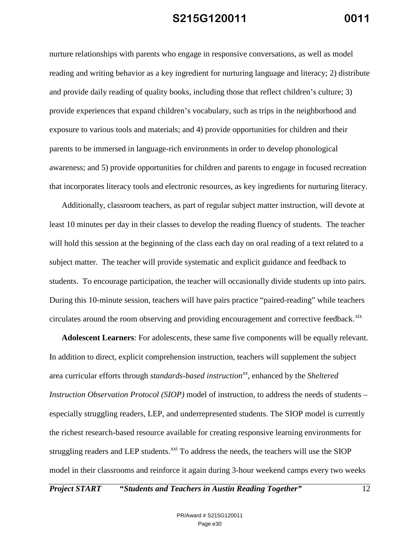nurture relationships with parents who engage in responsive conversations, as well as model reading and writing behavior as a key ingredient for nurturing language and literacy; 2) distribute and provide daily reading of quality books, including those that reflect children's culture; 3) provide experiences that expand children's vocabulary, such as trips in the neighborhood and exposure to various tools and materials; and 4) provide opportunities for children and their parents to be immersed in language-rich environments in order to develop phonological awareness; and 5) provide opportunities for children and parents to engage in focused recreation that incorporates literacy tools and electronic resources, as key ingredients for nurturing literacy.

Additionally, classroom teachers, as part of regular subject matter instruction, will devote at least 10 minutes per day in their classes to develop the reading fluency of students. The teacher will hold this session at the beginning of the class each day on oral reading of a text related to a subject matter. The teacher will provide systematic and explicit guidance and feedback to students. To encourage participation, the teacher will occasionally divide students up into pairs. During this 10-minute session, teachers will have pairs practice "paired-reading" while teachers circulates around the room observing and providing encouragement and corrective feedback. $x$ ix

**Adolescent Learners**: For adolescents, these same five components will be equally relevant. In addition to direct, explicit comprehension instruction, teachers will supplement the subject area curricular efforts through *standards-based instructionxx*, enhanced by the *Sheltered Instruction Observation Protocol (SIOP)* model of instruction, to address the needs of students – especially struggling readers, LEP, and underrepresented students. The SIOP model is currently the richest research-based resource available for creating responsive learning environments for struggling readers and LEP students.<sup>xxi</sup> To address the needs, the teachers will use the SIOP model in their classrooms and reinforce it again during 3-hour weekend camps every two weeks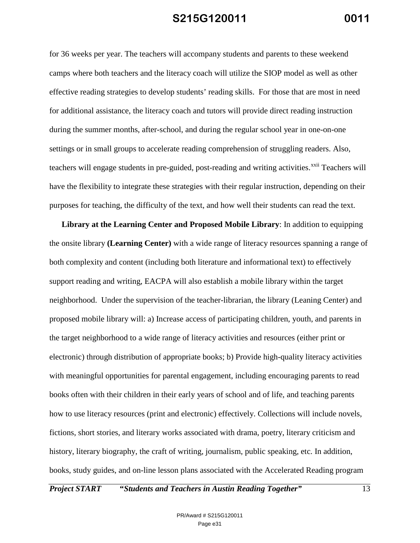for 36 weeks per year. The teachers will accompany students and parents to these weekend camps where both teachers and the literacy coach will utilize the SIOP model as well as other effective reading strategies to develop students' reading skills. For those that are most in need for additional assistance, the literacy coach and tutors will provide direct reading instruction during the summer months, after-school, and during the regular school year in one-on-one settings or in small groups to accelerate reading comprehension of struggling readers. Also, teachers will engage students in pre-guided, post-reading and writing activities.<sup>xxii</sup> Teachers will have the flexibility to integrate these strategies with their regular instruction, depending on their purposes for teaching, the difficulty of the text, and how well their students can read the text.

**Library at the Learning Center and Proposed Mobile Library**: In addition to equipping the onsite library **(Learning Center)** with a wide range of literacy resources spanning a range of both complexity and content (including both literature and informational text) to effectively support reading and writing, EACPA will also establish a mobile library within the target neighborhood. Under the supervision of the teacher-librarian, the library (Leaning Center) and proposed mobile library will: a) Increase access of participating children, youth, and parents in the target neighborhood to a wide range of literacy activities and resources (either print or electronic) through distribution of appropriate books; b) Provide high-quality literacy activities with meaningful opportunities for parental engagement, including encouraging parents to read books often with their children in their early years of school and of life, and teaching parents how to use literacy resources (print and electronic) effectively. Collections will include novels, fictions, short stories, and literary works associated with drama, poetry, literary criticism and history, literary biography, the craft of writing, journalism, public speaking, etc. In addition, books, study guides, and on-line lesson plans associated with the Accelerated Reading program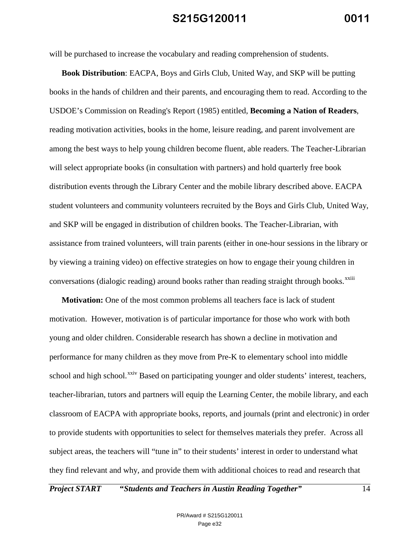will be purchased to increase the vocabulary and reading comprehension of students.

**Book Distribution**: EACPA, Boys and Girls Club, United Way, and SKP will be putting books in the hands of children and their parents, and encouraging them to read. According to the USDOE's Commission on Reading's Report (1985) entitled, **Becoming a Nation of Readers**, reading motivation activities, books in the home, leisure reading, and parent involvement are among the best ways to help young children become fluent, able readers. The Teacher-Librarian will select appropriate books (in consultation with partners) and hold quarterly free book distribution events through the Library Center and the mobile library described above. EACPA student volunteers and community volunteers recruited by the Boys and Girls Club, United Way, and SKP will be engaged in distribution of children books. The Teacher-Librarian, with assistance from trained volunteers, will train parents (either in one-hour sessions in the library or by viewing a training video) on effective strategies on how to engage their young children in conversations (dialogic reading) around books rather than reading straight through books.<sup>xxiii</sup>

**Motivation:** One of the most common problems all teachers face is lack of student motivation. However, motivation is of particular importance for those who work with both young and older children. Considerable research has shown a decline in motivation and performance for many children as they move from Pre-K to elementary school into middle school and high school.<sup>xxiv</sup> Based on participating younger and older students' interest, teachers, teacher-librarian, tutors and partners will equip the Learning Center, the mobile library, and each classroom of EACPA with appropriate books, reports, and journals (print and electronic) in order to provide students with opportunities to select for themselves materials they prefer. Across all subject areas, the teachers will "tune in" to their students' interest in order to understand what they find relevant and why, and provide them with additional choices to read and research that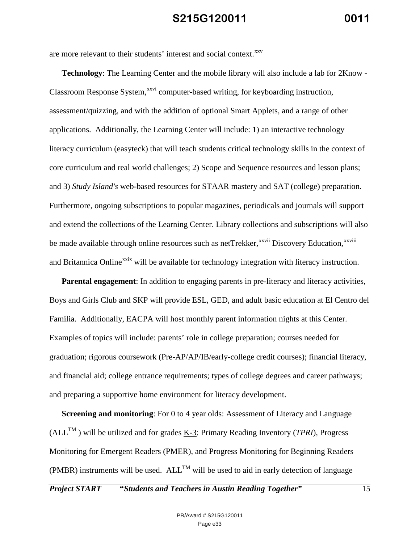are more relevant to their students' interest and social context.<sup>xxv</sup>

**Technology**: The Learning Center and the mobile library will also include a lab for 2Know - Classroom Response System,<sup>xxvi</sup> computer-based writing, for keyboarding instruction, be made available through online resources such as netTrekker, xxvii Discovery Education, xxviii assessment/quizzing, and with the addition of optional Smart Applets, and a range of other applications. Additionally, the Learning Center will include: 1) an interactive technology literacy curriculum (easyteck) that will teach students critical technology skills in the context of core curriculum and real world challenges; 2) Scope and Sequence resources and lesson plans; and 3) *Study Island's* web-based resources for STAAR mastery and SAT (college) preparation. Furthermore, ongoing subscriptions to popular magazines, periodicals and journals will support and extend the collections of the Learning Center. Library collections and subscriptions will also and Britannica Online<sup>xxix</sup> will be available for technology integration with literacy instruction.

**Parental engagement**: In addition to engaging parents in pre-literacy and literacy activities, Boys and Girls Club and SKP will provide ESL, GED, and adult basic education at El Centro del Familia. Additionally, EACPA will host monthly parent information nights at this Center. Examples of topics will include: parents' role in college preparation; courses needed for graduation; rigorous coursework (Pre-AP/AP/IB/early-college credit courses); financial literacy, and financial aid; college entrance requirements; types of college degrees and career pathways; and preparing a supportive home environment for literacy development.

**Screening and monitoring**: For 0 to 4 year olds: Assessment of Literacy and Language  $(ALL^{TM})$  will be utilized and for grades K-3: Primary Reading Inventory (*TPRI*), Progress Monitoring for Emergent Readers (PMER), and Progress Monitoring for Beginning Readers (PMBR) instruments will be used.  $ALL^{TM}$  will be used to aid in early detection of language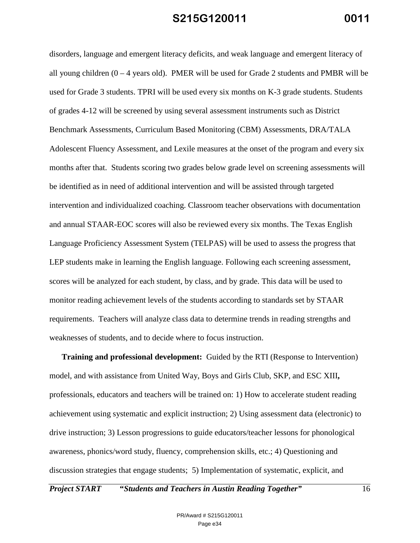disorders, language and emergent literacy deficits, and weak language and emergent literacy of all young children  $(0 - 4$  years old). PMER will be used for Grade 2 students and PMBR will be used for Grade 3 students. TPRI will be used every six months on K-3 grade students. Students of grades 4-12 will be screened by using several assessment instruments such as District Benchmark Assessments, Curriculum Based Monitoring (CBM) Assessments, DRA/TALA Adolescent Fluency Assessment, and Lexile measures at the onset of the program and every six months after that. Students scoring two grades below grade level on screening assessments will be identified as in need of additional intervention and will be assisted through targeted intervention and individualized coaching. Classroom teacher observations with documentation and annual STAAR-EOC scores will also be reviewed every six months. The Texas English Language Proficiency Assessment System (TELPAS) will be used to assess the progress that LEP students make in learning the English language. Following each screening assessment, scores will be analyzed for each student, by class, and by grade. This data will be used to monitor reading achievement levels of the students according to standards set by STAAR requirements. Teachers will analyze class data to determine trends in reading strengths and weaknesses of students, and to decide where to focus instruction.

**Training and professional development:** Guided by the RTI (Response to Intervention) model, and with assistance from United Way, Boys and Girls Club, SKP, and ESC XIII**,**  professionals, educators and teachers will be trained on: 1) How to accelerate student reading achievement using systematic and explicit instruction; 2) Using assessment data (electronic) to drive instruction; 3) Lesson progressions to guide educators/teacher lessons for phonological awareness, phonics/word study, fluency, comprehension skills, etc.; 4) Questioning and discussion strategies that engage students; 5) Implementation of systematic, explicit, and

*Project START* **"***Students and Teachers in Austin Reading Together"* 16

PR/Award # S215G120011 Page e34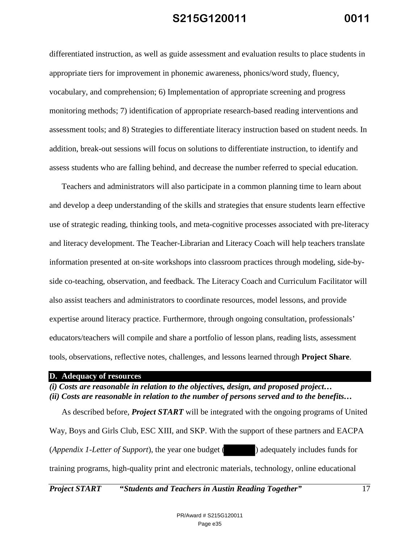differentiated instruction, as well as guide assessment and evaluation results to place students in appropriate tiers for improvement in phonemic awareness, phonics/word study, fluency, vocabulary, and comprehension; 6) Implementation of appropriate screening and progress monitoring methods; 7) identification of appropriate research-based reading interventions and assessment tools; and 8) Strategies to differentiate literacy instruction based on student needs. In addition, break-out sessions will focus on solutions to differentiate instruction, to identify and assess students who are falling behind, and decrease the number referred to special education.

Teachers and administrators will also participate in a common planning time to learn about and develop a deep understanding of the skills and strategies that ensure students learn effective use of strategic reading, thinking tools, and meta-cognitive processes associated with pre-literacy and literacy development. The Teacher-Librarian and Literacy Coach will help teachers translate information presented at on-site workshops into classroom practices through modeling, side-byside co-teaching, observation, and feedback. The Literacy Coach and Curriculum Facilitator will also assist teachers and administrators to coordinate resources, model lessons, and provide expertise around literacy practice. Furthermore, through ongoing consultation, professionals' educators/teachers will compile and share a portfolio of lesson plans, reading lists, assessment tools, observations, reflective notes, challenges, and lessons learned through **Project Share**.

#### **D. Adequacy of resources**

*(i) Costs are reasonable in relation to the objectives, design, and proposed project… (ii) Costs are reasonable in relation to the number of persons served and to the benefits…* 

As described before, *Project START* will be integrated with the ongoing programs of United Way, Boys and Girls Club, ESC XIII, and SKP. With the support of these partners and EACPA (*Appendix 1-Letter of Support*), the year one budget ( ) adequately includes funds for training programs, high-quality print and electronic materials, technology, online educational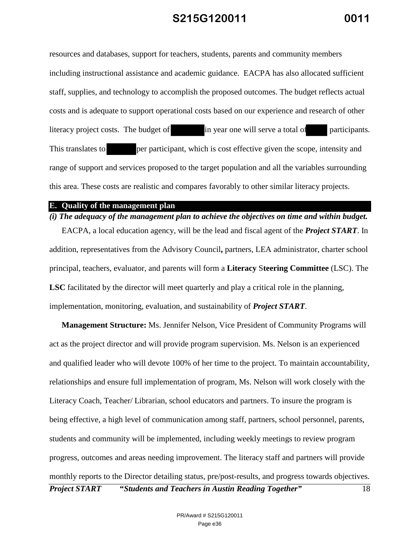resources and databases, support for teachers, students, parents and community members including instructional assistance and academic guidance. EACPA has also allocated sufficient staff, supplies, and technology to accomplish the proposed outcomes. The budget reflects actual costs and is adequate to support operational costs based on our experience and research of other literacy project costs. The budget of in year one will serve a total of participants. This translates to per participant, which is cost effective given the scope, intensity and range of support and services proposed to the target population and all the variables surrounding this area. These costs are realistic and compares favorably to other similar literacy projects.

#### **E. Quality of the management plan**

#### *(i) The adequacy of the management plan to achieve the objectives on time and within budget.*

EACPA, a local education agency, will be the lead and fiscal agent of the *Project START*. In addition, representatives from the Advisory Council**,** partners, LEA administrator, charter school principal, teachers, evaluator, and parents will form a **Literacy** S**teering Committee** (LSC). The **LSC** facilitated by the director will meet quarterly and play a critical role in the planning, implementation, monitoring, evaluation, and sustainability of *Project START*.

*Project START* **"***Students and Teachers in Austin Reading Together"* 18 **Management Structure:** Ms. Jennifer Nelson, Vice President of Community Programs will act as the project director and will provide program supervision. Ms. Nelson is an experienced and qualified leader who will devote 100% of her time to the project. To maintain accountability, relationships and ensure full implementation of program, Ms. Nelson will work closely with the Literacy Coach, Teacher/ Librarian, school educators and partners. To insure the program is being effective, a high level of communication among staff, partners, school personnel, parents, students and community will be implemented, including weekly meetings to review program progress, outcomes and areas needing improvement. The literacy staff and partners will provide monthly reports to the Director detailing status, pre/post-results, and progress towards objectives.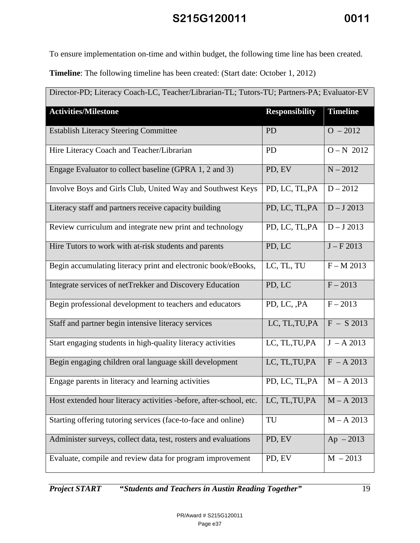To ensure implementation on-time and within budget, the following time line has been created.

**Timeline**: The following timeline has been created: (Start date: October 1, 2012)

| Director-PD; Literacy Coach-LC, Teacher/Librarian-TL; Tutors-TU; Partners-PA; Evaluator-EV |                       |                 |  |
|--------------------------------------------------------------------------------------------|-----------------------|-----------------|--|
| <b>Activities/Milestone</b>                                                                | <b>Responsibility</b> | <b>Timeline</b> |  |
| <b>Establish Literacy Steering Committee</b>                                               | PD                    | $O - 2012$      |  |
| Hire Literacy Coach and Teacher/Librarian                                                  | <b>PD</b>             | $O - N$ 2012    |  |
| Engage Evaluator to collect baseline (GPRA 1, 2 and 3)                                     | PD, EV                | $N - 2012$      |  |
| Involve Boys and Girls Club, United Way and Southwest Keys                                 | PD, LC, TL, PA        | $D - 2012$      |  |
| Literacy staff and partners receive capacity building                                      | PD, LC, TL, PA        | $D - J$ 2013    |  |
| Review curriculum and integrate new print and technology                                   | PD, LC, TL, PA        | $D - J$ 2013    |  |
| Hire Tutors to work with at-risk students and parents                                      | PD, LC                | $J - F 2013$    |  |
| Begin accumulating literacy print and electronic book/eBooks,                              | LC, TL, TU            | $F - M 2013$    |  |
| Integrate services of netTrekker and Discovery Education                                   | PD, LC                | $F - 2013$      |  |
| Begin professional development to teachers and educators                                   | PD, LC, , PA          | $F - 2013$      |  |
| Staff and partner begin intensive literacy services                                        | LC, TL, TU, PA        | $F - S$ 2013    |  |
| Start engaging students in high-quality literacy activities                                | LC, TL, TU, PA        | $J - A 2013$    |  |
| Begin engaging children oral language skill development                                    | LC, TL, TU, PA        | $F - A 2013$    |  |
| Engage parents in literacy and learning activities                                         | PD, LC, TL, PA        | $M - A 2013$    |  |
| Host extended hour literacy activities -before, after-school, etc.                         | LC, TL, TU, PA        | $M - A 2013$    |  |
| Starting offering tutoring services (face-to-face and online)                              | TU                    | $M - A 2013$    |  |
| Administer surveys, collect data, test, rosters and evaluations                            | PD, EV                | $Ap - 2013$     |  |
| Evaluate, compile and review data for program improvement                                  | PD, EV                | $M - 2013$      |  |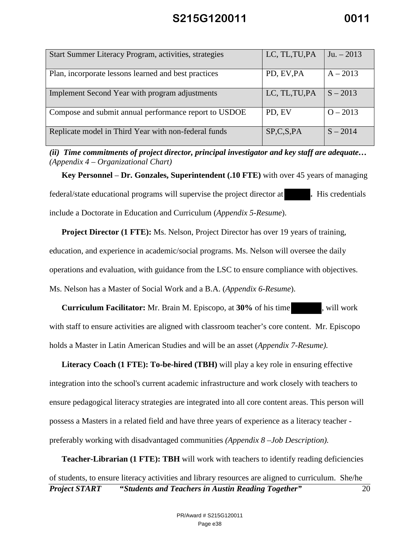| Start Summer Literacy Program, activities, strategies | LC, TL, TU, PA | $Ju. - 2013$ |
|-------------------------------------------------------|----------------|--------------|
| Plan, incorporate lessons learned and best practices  | PD, EV, PA     | $A - 2013$   |
| Implement Second Year with program adjustments        | LC, TL, TU, PA | $S - 2013$   |
| Compose and submit annual performance report to USDOE | PD, EV         | $O - 2013$   |
| Replicate model in Third Year with non-federal funds  | SP, C, S, PA   | $S - 2014$   |

*(ii) Time commitments of project director, principal investigator and key staff are adequate… (Appendix 4 – Organizational Chart)* 

**Key Personnel** – **Dr. Gonzales, Superintendent (.10 FTE)** with over 45 years of managing federal/state educational programs will supervise the project director at **.** His credentials include a Doctorate in Education and Curriculum (*Appendix 5-Resume*).

**Project Director (1 FTE):** Ms. Nelson, Project Director has over 19 years of training, education, and experience in academic/social programs. Ms. Nelson will oversee the daily operations and evaluation, with guidance from the LSC to ensure compliance with objectives. Ms. Nelson has a Master of Social Work and a B.A. (*Appendix 6-Resume*).

**Curriculum Facilitator:** Mr. Brain M. Episcopo, at **30%** of his time , will work with staff to ensure activities are aligned with classroom teacher's core content. Mr. Episcopo holds a Master in Latin American Studies and will be an asset (*Appendix 7-Resume).*

**Literacy Coach (1 FTE): To-be-hired (TBH)** will play a key role in ensuring effective integration into the school's current academic infrastructure and work closely with teachers to ensure pedagogical literacy strategies are integrated into all core content areas. This person will possess a Masters in a related field and have three years of experience as a literacy teacher preferably working with disadvantaged communities *(Appendix 8 –Job Description).*

*Project START* **"***Students and Teachers in Austin Reading Together"* 20 **Teacher-Librarian (1 FTE): TBH** will work with teachers to identify reading deficiencies of students, to ensure literacy activities and library resources are aligned to curriculum. She/he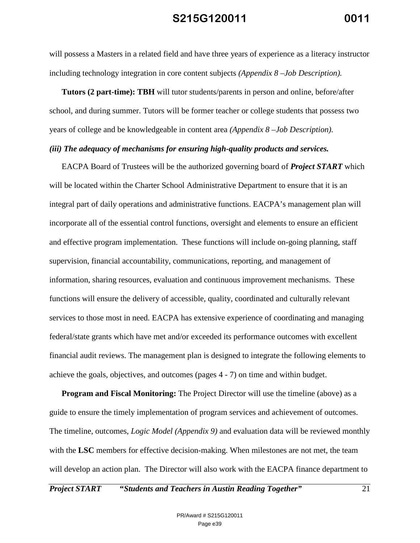will possess a Masters in a related field and have three years of experience as a literacy instructor including technology integration in core content subjects *(Appendix 8 –Job Description).*

**Tutors (2 part-time): TBH** will tutor students/parents in person and online, before/after school, and during summer. Tutors will be former teacher or college students that possess two years of college and be knowledgeable in content area *(Appendix 8 –Job Description).*

#### *(iii) The adequacy of mechanisms for ensuring high-quality products and services.*

EACPA Board of Trustees will be the authorized governing board of *Project START* which will be located within the Charter School Administrative Department to ensure that it is an integral part of daily operations and administrative functions. EACPA's management plan will incorporate all of the essential control functions, oversight and elements to ensure an efficient and effective program implementation. These functions will include on-going planning, staff supervision, financial accountability, communications, reporting, and management of information, sharing resources, evaluation and continuous improvement mechanisms. These functions will ensure the delivery of accessible, quality, coordinated and culturally relevant services to those most in need. EACPA has extensive experience of coordinating and managing federal/state grants which have met and/or exceeded its performance outcomes with excellent financial audit reviews. The management plan is designed to integrate the following elements to achieve the goals, objectives, and outcomes (pages 4 - 7) on time and within budget.

**Program and Fiscal Monitoring:** The Project Director will use the timeline (above) as a guide to ensure the timely implementation of program services and achievement of outcomes. The timeline, outcomes, *Logic Model (Appendix 9)* and evaluation data will be reviewed monthly with the **LSC** members for effective decision-making. When milestones are not met, the team will develop an action plan. The Director will also work with the EACPA finance department to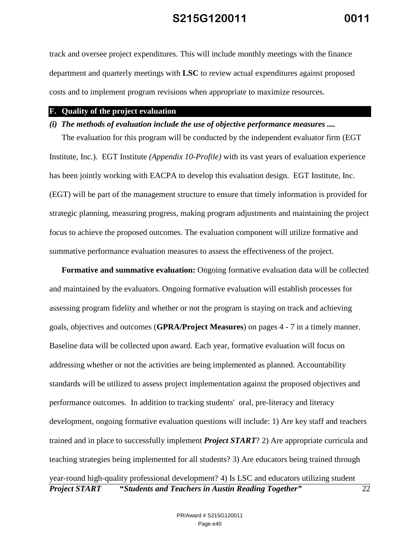track and oversee project expenditures. This will include monthly meetings with the finance department and quarterly meetings with **LSC** to review actual expenditures against proposed costs and to implement program revisions when appropriate to maximize resources.

#### **F. Quality of the project evaluation**

#### *(i) The methods of evaluation include the use of objective performance measures ....*

The evaluation for this program will be conducted by the independent evaluator firm (EGT Institute, Inc.). EGT Institute *(Appendix 10-Profile)* with its vast years of evaluation experience has been jointly working with EACPA to develop this evaluation design. EGT Institute, Inc. (EGT) will be part of the management structure to ensure that timely information is provided for strategic planning, measuring progress, making program adjustments and maintaining the project focus to achieve the proposed outcomes. The evaluation component will utilize formative and summative performance evaluation measures to assess the effectiveness of the project.

*Project START* **"***Students and Teachers in Austin Reading Together"* 22 **Formative and summative evaluation:** Ongoing formative evaluation data will be collected and maintained by the evaluators. Ongoing formative evaluation will establish processes for assessing program fidelity and whether or not the program is staying on track and achieving goals, objectives and outcomes (**GPRA/Project Measures**) on pages 4 - 7 in a timely manner. Baseline data will be collected upon award. Each year, formative evaluation will focus on addressing whether or not the activities are being implemented as planned. Accountability standards will be utilized to assess project implementation against the proposed objectives and performance outcomes. In addition to tracking students' oral, pre-literacy and literacy development, ongoing formative evaluation questions will include: 1) Are key staff and teachers trained and in place to successfully implement *Project START*? 2) Are appropriate curricula and teaching strategies being implemented for all students? 3) Are educators being trained through year-round high-quality professional development? 4) Is LSC and educators utilizing student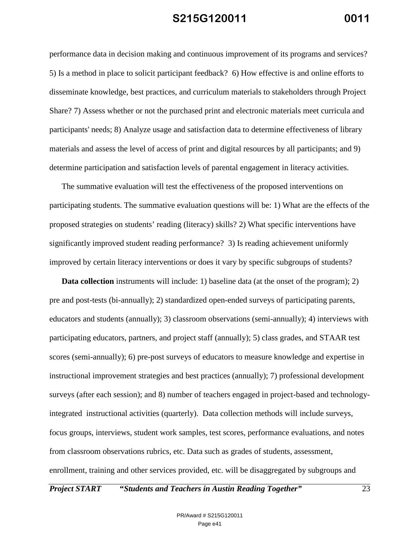performance data in decision making and continuous improvement of its programs and services? 5) Is a method in place to solicit participant feedback? 6) How effective is and online efforts to disseminate knowledge, best practices, and curriculum materials to stakeholders through Project Share? 7) Assess whether or not the purchased print and electronic materials meet curricula and participants' needs; 8) Analyze usage and satisfaction data to determine effectiveness of library materials and assess the level of access of print and digital resources by all participants; and 9) determine participation and satisfaction levels of parental engagement in literacy activities.

The summative evaluation will test the effectiveness of the proposed interventions on participating students. The summative evaluation questions will be: 1) What are the effects of the proposed strategies on students' reading (literacy) skills? 2) What specific interventions have significantly improved student reading performance? 3) Is reading achievement uniformly improved by certain literacy interventions or does it vary by specific subgroups of students?

**Data collection** instruments will include: 1) baseline data (at the onset of the program); 2) pre and post-tests (bi-annually); 2) standardized open-ended surveys of participating parents, educators and students (annually); 3) classroom observations (semi-annually); 4) interviews with participating educators, partners, and project staff (annually); 5) class grades, and STAAR test scores (semi-annually); 6) pre-post surveys of educators to measure knowledge and expertise in instructional improvement strategies and best practices (annually); 7) professional development surveys (after each session); and 8) number of teachers engaged in project-based and technologyintegrated instructional activities (quarterly). Data collection methods will include surveys, focus groups, interviews, student work samples, test scores, performance evaluations, and notes from classroom observations rubrics, etc. Data such as grades of students, assessment, enrollment, training and other services provided, etc. will be disaggregated by subgroups and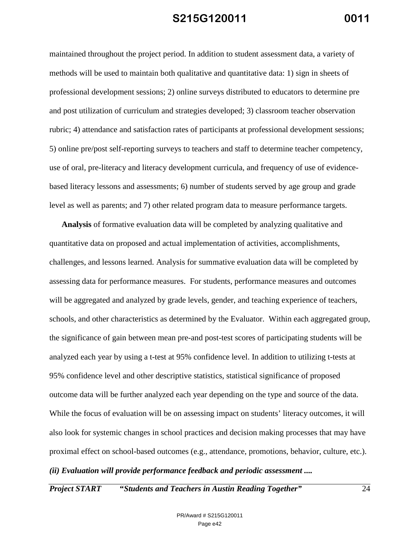maintained throughout the project period. In addition to student assessment data, a variety of methods will be used to maintain both qualitative and quantitative data: 1) sign in sheets of professional development sessions; 2) online surveys distributed to educators to determine pre and post utilization of curriculum and strategies developed; 3) classroom teacher observation rubric; 4) attendance and satisfaction rates of participants at professional development sessions; 5) online pre/post self-reporting surveys to teachers and staff to determine teacher competency, use of oral, pre-literacy and literacy development curricula, and frequency of use of evidencebased literacy lessons and assessments; 6) number of students served by age group and grade level as well as parents; and 7) other related program data to measure performance targets.

**Analysis** of formative evaluation data will be completed by analyzing qualitative and quantitative data on proposed and actual implementation of activities, accomplishments, challenges, and lessons learned. Analysis for summative evaluation data will be completed by assessing data for performance measures. For students, performance measures and outcomes will be aggregated and analyzed by grade levels, gender, and teaching experience of teachers, schools, and other characteristics as determined by the Evaluator. Within each aggregated group, the significance of gain between mean pre-and post-test scores of participating students will be analyzed each year by using a t-test at 95% confidence level. In addition to utilizing t-tests at 95% confidence level and other descriptive statistics, statistical significance of proposed outcome data will be further analyzed each year depending on the type and source of the data. While the focus of evaluation will be on assessing impact on students' literacy outcomes, it will also look for systemic changes in school practices and decision making processes that may have proximal effect on school-based outcomes (e.g., attendance, promotions, behavior, culture, etc.). *(ii) Evaluation will provide performance feedback and periodic assessment ....*